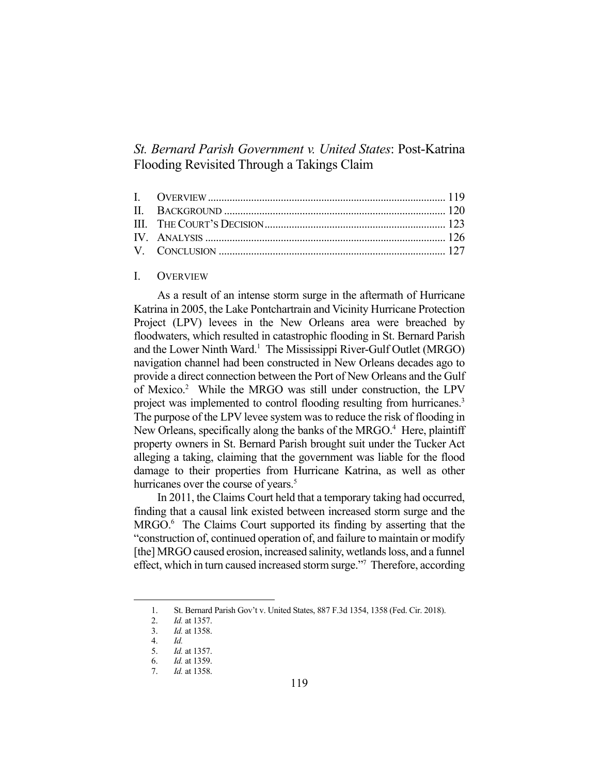# *St. Bernard Parish Government v. United States*: Post-Katrina Flooding Revisited Through a Takings Claim

## I. OVERVIEW

 As a result of an intense storm surge in the aftermath of Hurricane Katrina in 2005, the Lake Pontchartrain and Vicinity Hurricane Protection Project (LPV) levees in the New Orleans area were breached by floodwaters, which resulted in catastrophic flooding in St. Bernard Parish and the Lower Ninth Ward.<sup>1</sup> The Mississippi River-Gulf Outlet (MRGO) navigation channel had been constructed in New Orleans decades ago to provide a direct connection between the Port of New Orleans and the Gulf of Mexico.<sup>2</sup> While the MRGO was still under construction, the LPV project was implemented to control flooding resulting from hurricanes.<sup>3</sup> The purpose of the LPV levee system was to reduce the risk of flooding in New Orleans, specifically along the banks of the MRGO.<sup>4</sup> Here, plaintiff property owners in St. Bernard Parish brought suit under the Tucker Act alleging a taking, claiming that the government was liable for the flood damage to their properties from Hurricane Katrina, as well as other hurricanes over the course of years.<sup>5</sup>

 In 2011, the Claims Court held that a temporary taking had occurred, finding that a causal link existed between increased storm surge and the MRGO.<sup>6</sup> The Claims Court supported its finding by asserting that the "construction of, continued operation of, and failure to maintain or modify [the] MRGO caused erosion, increased salinity, wetlands loss, and a funnel effect, which in turn caused increased storm surge."<sup>7</sup> Therefore, according

 <sup>1.</sup> St. Bernard Parish Gov't v. United States, 887 F.3d 1354, 1358 (Fed. Cir. 2018).

 <sup>2.</sup> *Id.* at 1357.

 <sup>3.</sup> *Id.* at 1358.

 <sup>4.</sup> *Id.*

 <sup>5.</sup> *Id.* at 1357.

 <sup>6.</sup> *Id.* at 1359.

 <sup>7.</sup> *Id.* at 1358.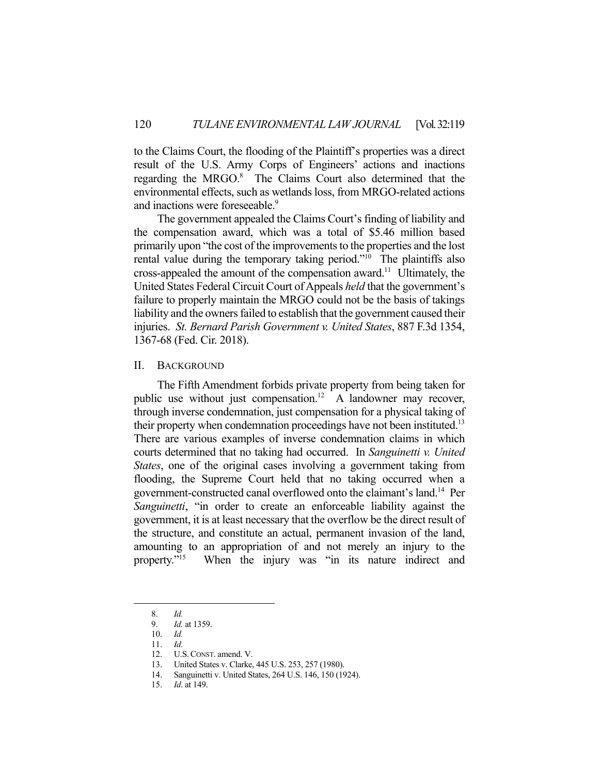to the Claims Court, the flooding of the Plaintiff's properties was a direct result of the U.S. Army Corps of Engineers' actions and inactions regarding the MRGO.<sup>8</sup> The Claims Court also determined that the environmental effects, such as wetlands loss, from MRGO-related actions and inactions were foreseeable.<sup>9</sup>

 The government appealed the Claims Court's finding of liability and the compensation award, which was a total of \$5.46 million based primarily upon "the cost of the improvements to the properties and the lost rental value during the temporary taking period."<sup>10</sup> The plaintiffs also cross-appealed the amount of the compensation award.11 Ultimately, the United States Federal Circuit Court of Appeals *held* that the government's failure to properly maintain the MRGO could not be the basis of takings liability and the owners failed to establish that the government caused their injuries. *St. Bernard Parish Government v. United States*, 887 F.3d 1354, 1367-68 (Fed. Cir. 2018).

#### II. BACKGROUND

 The Fifth Amendment forbids private property from being taken for public use without just compensation.<sup>12</sup> A landowner may recover, through inverse condemnation, just compensation for a physical taking of their property when condemnation proceedings have not been instituted.<sup>13</sup> There are various examples of inverse condemnation claims in which courts determined that no taking had occurred. In *Sanguinetti v. United States*, one of the original cases involving a government taking from flooding, the Supreme Court held that no taking occurred when a government-constructed canal overflowed onto the claimant's land.14 Per *Sanguinetti*, "in order to create an enforceable liability against the government, it is at least necessary that the overflow be the direct result of the structure, and constitute an actual, permanent invasion of the land, amounting to an appropriation of and not merely an injury to the property."15 When the injury was "in its nature indirect and

 <sup>8.</sup> *Id.* 

 <sup>9.</sup> *Id.* at 1359.

 <sup>10.</sup> *Id.* 

 <sup>11.</sup> *Id.*

 <sup>12.</sup> U.S.CONST. amend. V.

 <sup>13.</sup> United States v. Clarke, 445 U.S. 253, 257 (1980).

 <sup>14.</sup> Sanguinetti v. United States, 264 U.S. 146, 150 (1924).

 <sup>15.</sup> *Id*. at 149.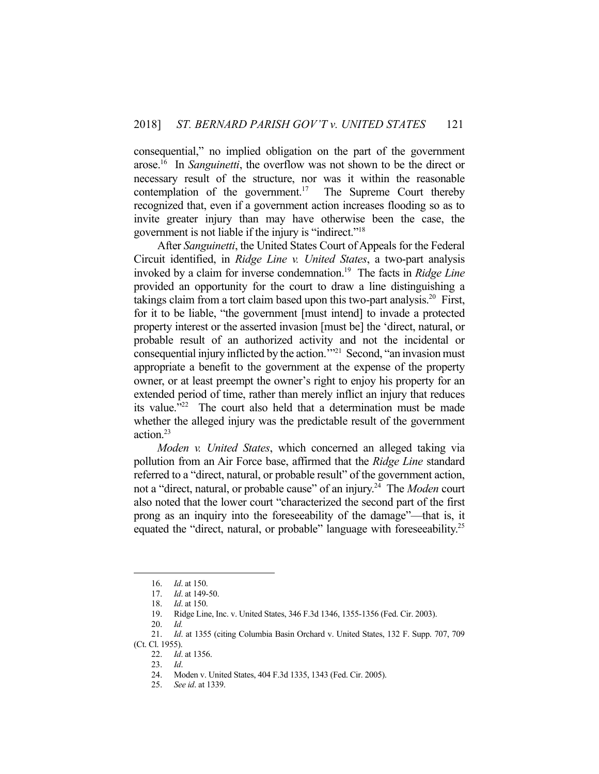consequential," no implied obligation on the part of the government arose.16 In *Sanguinetti*, the overflow was not shown to be the direct or necessary result of the structure, nor was it within the reasonable contemplation of the government.<sup>17</sup> The Supreme Court thereby recognized that, even if a government action increases flooding so as to invite greater injury than may have otherwise been the case, the government is not liable if the injury is "indirect."18

 After *Sanguinetti*, the United States Court of Appeals for the Federal Circuit identified, in *Ridge Line v. United States*, a two-part analysis invoked by a claim for inverse condemnation.19 The facts in *Ridge Line* provided an opportunity for the court to draw a line distinguishing a takings claim from a tort claim based upon this two-part analysis.<sup>20</sup> First, for it to be liable, "the government [must intend] to invade a protected property interest or the asserted invasion [must be] the 'direct, natural, or probable result of an authorized activity and not the incidental or consequential injury inflicted by the action.'"21 Second, "an invasion must appropriate a benefit to the government at the expense of the property owner, or at least preempt the owner's right to enjoy his property for an extended period of time, rather than merely inflict an injury that reduces its value."<sup>22</sup> The court also held that a determination must be made whether the alleged injury was the predictable result of the government action.23

*Moden v. United States*, which concerned an alleged taking via pollution from an Air Force base, affirmed that the *Ridge Line* standard referred to a "direct, natural, or probable result" of the government action, not a "direct, natural, or probable cause" of an injury.24 The *Moden* court also noted that the lower court "characterized the second part of the first prong as an inquiry into the foreseeability of the damage"—that is, it equated the "direct, natural, or probable" language with foreseeability.<sup>25</sup>

1

 <sup>16.</sup> *Id*. at 150.

 <sup>17.</sup> *Id*. at 149-50.

 <sup>18.</sup> *Id*. at 150.

 <sup>19.</sup> Ridge Line, Inc. v. United States, 346 F.3d 1346, 1355-1356 (Fed. Cir. 2003).

 <sup>20.</sup> *Id.*

 <sup>21.</sup> *Id*. at 1355 (citing Columbia Basin Orchard v. United States, 132 F. Supp. 707, 709 (Ct. Cl. 1955).

 <sup>22.</sup> *Id*. at 1356.

 <sup>23.</sup> *Id*.

 <sup>24.</sup> Moden v. United States, 404 F.3d 1335, 1343 (Fed. Cir. 2005).

 <sup>25.</sup> *See id*. at 1339.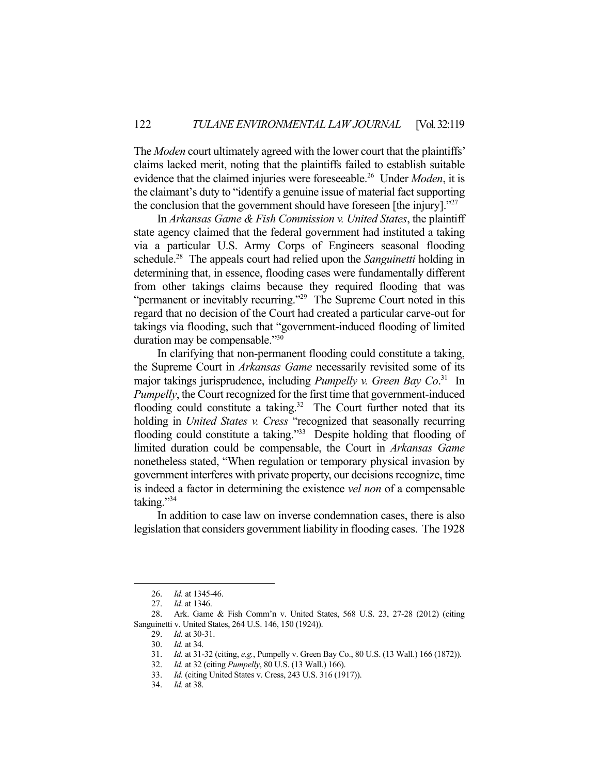The *Moden* court ultimately agreed with the lower court that the plaintiffs' claims lacked merit, noting that the plaintiffs failed to establish suitable evidence that the claimed injuries were foreseeable.26 Under *Moden*, it is the claimant's duty to "identify a genuine issue of material fact supporting the conclusion that the government should have foreseen [the injury]. $27$ 

 In *Arkansas Game & Fish Commission v. United States*, the plaintiff state agency claimed that the federal government had instituted a taking via a particular U.S. Army Corps of Engineers seasonal flooding schedule.28 The appeals court had relied upon the *Sanguinetti* holding in determining that, in essence, flooding cases were fundamentally different from other takings claims because they required flooding that was "permanent or inevitably recurring."<sup>29</sup> The Supreme Court noted in this regard that no decision of the Court had created a particular carve-out for takings via flooding, such that "government-induced flooding of limited duration may be compensable."<sup>30</sup>

 In clarifying that non-permanent flooding could constitute a taking, the Supreme Court in *Arkansas Game* necessarily revisited some of its major takings jurisprudence, including *Pumpelly v. Green Bay Co*. 31 In *Pumpelly*, the Court recognized for the first time that government-induced flooding could constitute a taking.<sup>32</sup> The Court further noted that its holding in *United States v. Cress* "recognized that seasonally recurring flooding could constitute a taking."<sup>33</sup> Despite holding that flooding of limited duration could be compensable, the Court in *Arkansas Game* nonetheless stated, "When regulation or temporary physical invasion by government interferes with private property, our decisions recognize, time is indeed a factor in determining the existence *vel non* of a compensable taking."34

 In addition to case law on inverse condemnation cases, there is also legislation that considers government liability in flooding cases. The 1928

1

34. *Id.* at 38.

 <sup>26.</sup> *Id.* at 1345-46.

 <sup>27.</sup> *Id*. at 1346.

 <sup>28.</sup> Ark. Game & Fish Comm'n v. United States, 568 U.S. 23, 27-28 (2012) (citing Sanguinetti v. United States, 264 U.S. 146, 150 (1924)).

 <sup>29.</sup> *Id.* at 30-31.

 <sup>30.</sup> *Id.* at 34.

 <sup>31.</sup> *Id.* at 31-32 (citing, *e.g.*, Pumpelly v. Green Bay Co., 80 U.S. (13 Wall.) 166 (1872)).

 <sup>32.</sup> *Id.* at 32 (citing *Pumpelly*, 80 U.S. (13 Wall.) 166).

 <sup>33.</sup> *Id.* (citing United States v. Cress, 243 U.S. 316 (1917)).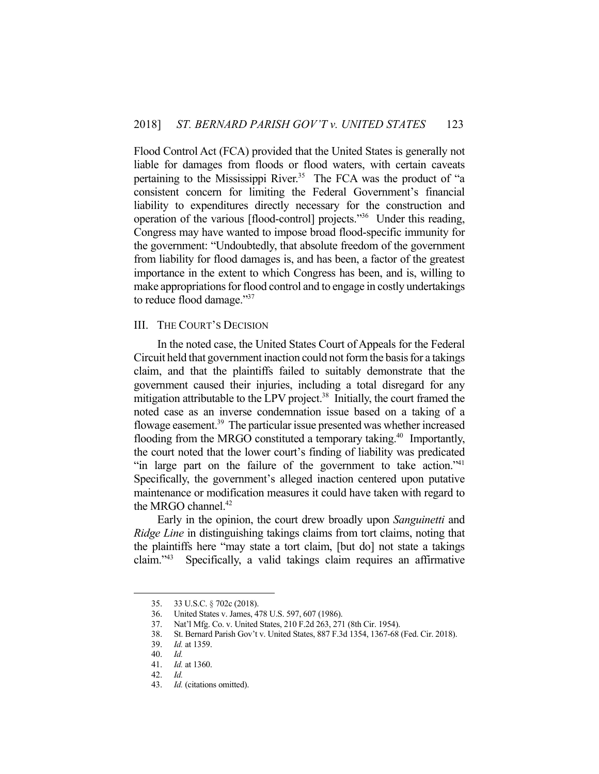Flood Control Act (FCA) provided that the United States is generally not liable for damages from floods or flood waters, with certain caveats pertaining to the Mississippi River.<sup>35</sup> The FCA was the product of "a consistent concern for limiting the Federal Government's financial liability to expenditures directly necessary for the construction and operation of the various [flood-control] projects."36 Under this reading, Congress may have wanted to impose broad flood-specific immunity for the government: "Undoubtedly, that absolute freedom of the government from liability for flood damages is, and has been, a factor of the greatest importance in the extent to which Congress has been, and is, willing to make appropriations for flood control and to engage in costly undertakings to reduce flood damage."37

#### III. THE COURT'S DECISION

 In the noted case, the United States Court of Appeals for the Federal Circuit held that government inaction could not form the basis for a takings claim, and that the plaintiffs failed to suitably demonstrate that the government caused their injuries, including a total disregard for any mitigation attributable to the LPV project.<sup>38</sup> Initially, the court framed the noted case as an inverse condemnation issue based on a taking of a flowage easement.<sup>39</sup> The particular issue presented was whether increased flooding from the MRGO constituted a temporary taking.<sup>40</sup> Importantly, the court noted that the lower court's finding of liability was predicated "in large part on the failure of the government to take action." Specifically, the government's alleged inaction centered upon putative maintenance or modification measures it could have taken with regard to the MRGO channel. $42$ 

 Early in the opinion, the court drew broadly upon *Sanguinetti* and *Ridge Line* in distinguishing takings claims from tort claims, noting that the plaintiffs here "may state a tort claim, [but do] not state a takings claim."43 Specifically, a valid takings claim requires an affirmative

1

<sup>35. 33</sup> U.S.C. § 702c (2018).<br>36. United States v. James, 4<br>37. Nat'l Mfg. Co. v. United

United States v. James, 478 U.S. 597, 607 (1986).

 <sup>37.</sup> Nat'l Mfg. Co. v. United States, 210 F.2d 263, 271 (8th Cir. 1954).

 <sup>38.</sup> St. Bernard Parish Gov't v. United States, 887 F.3d 1354, 1367-68 (Fed. Cir. 2018).

 <sup>39.</sup> *Id.* at 1359.

 <sup>40.</sup> *Id.* 

 <sup>41.</sup> *Id.* at 1360.

 <sup>42.</sup> *Id.*

 <sup>43.</sup> *Id.* (citations omitted).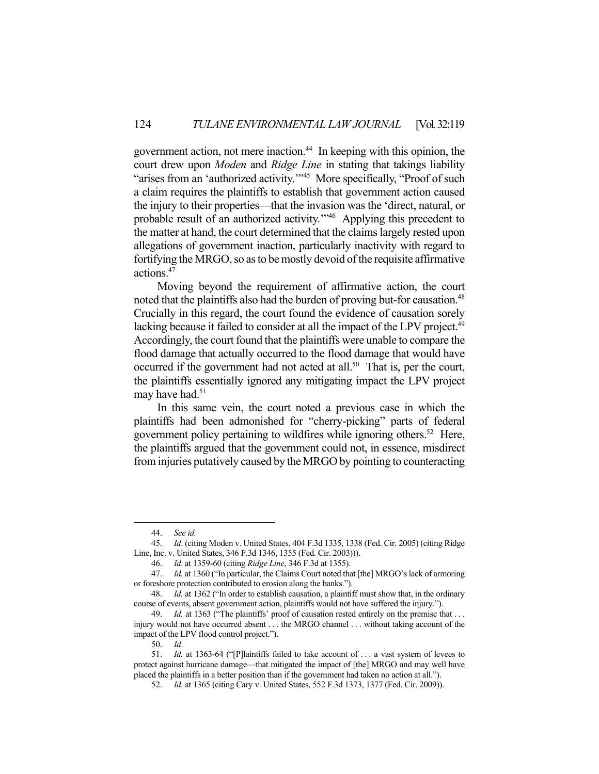government action, not mere inaction.44 In keeping with this opinion, the court drew upon *Moden* and *Ridge Line* in stating that takings liability "arises from an 'authorized activity."<sup>45</sup> More specifically, "Proof of such a claim requires the plaintiffs to establish that government action caused the injury to their properties—that the invasion was the 'direct, natural, or probable result of an authorized activity.'"46 Applying this precedent to the matter at hand, the court determined that the claims largely rested upon allegations of government inaction, particularly inactivity with regard to fortifying the MRGO, so as to be mostly devoid of the requisite affirmative actions.47

 Moving beyond the requirement of affirmative action, the court noted that the plaintiffs also had the burden of proving but-for causation.<sup>48</sup> Crucially in this regard, the court found the evidence of causation sorely lacking because it failed to consider at all the impact of the LPV project.<sup>49</sup> Accordingly, the court found that the plaintiffs were unable to compare the flood damage that actually occurred to the flood damage that would have occurred if the government had not acted at all.<sup>50</sup> That is, per the court, the plaintiffs essentially ignored any mitigating impact the LPV project may have had.<sup>51</sup>

 In this same vein, the court noted a previous case in which the plaintiffs had been admonished for "cherry-picking" parts of federal government policy pertaining to wildfires while ignoring others. 52 Here, the plaintiffs argued that the government could not, in essence, misdirect from injuries putatively caused by the MRGO by pointing to counteracting

1

 <sup>44.</sup> *See id.*

 <sup>45.</sup> *Id*. (citing Moden v. United States, 404 F.3d 1335, 1338 (Fed. Cir. 2005) (citing Ridge Line, Inc. v. United States, 346 F.3d 1346, 1355 (Fed. Cir. 2003))).

 <sup>46.</sup> *Id*. at 1359-60 (citing *Ridge Line*, 346 F.3d at 1355).

 <sup>47.</sup> *Id.* at 1360 ("In particular, the Claims Court noted that [the] MRGO's lack of armoring or foreshore protection contributed to erosion along the banks.").

 <sup>48.</sup> *Id.* at 1362 ("In order to establish causation, a plaintiff must show that, in the ordinary course of events, absent government action, plaintiffs would not have suffered the injury.").

 <sup>49.</sup> *Id.* at 1363 ("The plaintiffs' proof of causation rested entirely on the premise that . . . injury would not have occurred absent . . . the MRGO channel . . . without taking account of the impact of the LPV flood control project.").

 <sup>50.</sup> *Id*.

 <sup>51.</sup> *Id.* at 1363-64 ("[P]laintiffs failed to take account of . . . a vast system of levees to protect against hurricane damage—that mitigated the impact of [the] MRGO and may well have placed the plaintiffs in a better position than if the government had taken no action at all.").

 <sup>52.</sup> *Id.* at 1365 (citing Cary v. United States, 552 F.3d 1373, 1377 (Fed. Cir. 2009)).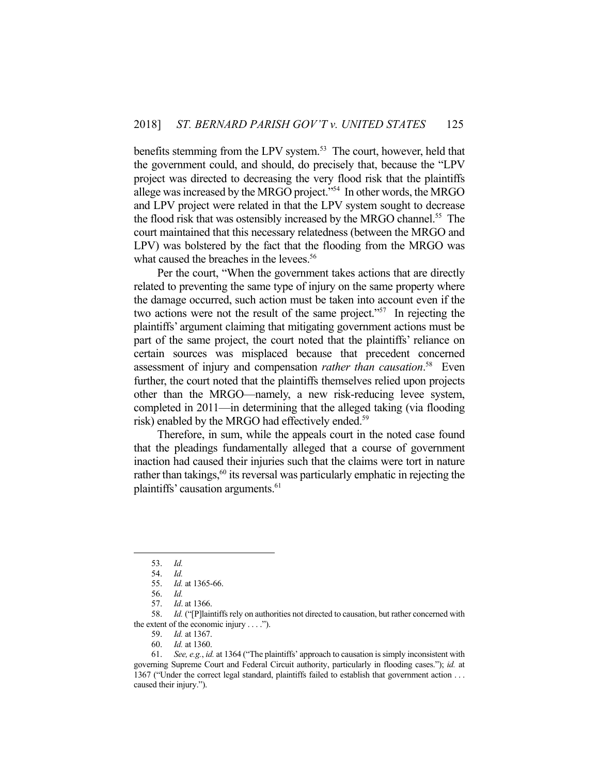benefits stemming from the LPV system.<sup>53</sup> The court, however, held that the government could, and should, do precisely that, because the "LPV project was directed to decreasing the very flood risk that the plaintiffs allege was increased by the MRGO project."54 In other words, the MRGO and LPV project were related in that the LPV system sought to decrease the flood risk that was ostensibly increased by the MRGO channel.<sup>55</sup> The court maintained that this necessary relatedness (between the MRGO and LPV) was bolstered by the fact that the flooding from the MRGO was what caused the breaches in the levees.<sup>56</sup>

 Per the court, "When the government takes actions that are directly related to preventing the same type of injury on the same property where the damage occurred, such action must be taken into account even if the two actions were not the result of the same project."<sup>57</sup> In rejecting the plaintiffs' argument claiming that mitigating government actions must be part of the same project, the court noted that the plaintiffs' reliance on certain sources was misplaced because that precedent concerned assessment of injury and compensation *rather than causation*. 58 Even further, the court noted that the plaintiffs themselves relied upon projects other than the MRGO—namely, a new risk-reducing levee system, completed in 2011—in determining that the alleged taking (via flooding risk) enabled by the MRGO had effectively ended.<sup>59</sup>

 Therefore, in sum, while the appeals court in the noted case found that the pleadings fundamentally alleged that a course of government inaction had caused their injuries such that the claims were tort in nature rather than takings, $60$  its reversal was particularly emphatic in rejecting the plaintiffs' causation arguments.<sup>61</sup>

- 59. *Id.* at 1367.
- 60. *Id.* at 1360.

 <sup>53.</sup> *Id.*

 <sup>54.</sup> *Id.*

 <sup>55.</sup> *Id.* at 1365-66.

 <sup>56.</sup> *Id.* 

 <sup>57.</sup> *Id*. at 1366.

 <sup>58.</sup> *Id.* ("[P]laintiffs rely on authorities not directed to causation, but rather concerned with the extent of the economic injury  $\dots$ .").

 <sup>61.</sup> *See, e.g.*, *id.* at 1364 ("The plaintiffs' approach to causation is simply inconsistent with governing Supreme Court and Federal Circuit authority, particularly in flooding cases."); *id.* at 1367 ("Under the correct legal standard, plaintiffs failed to establish that government action . . . caused their injury.").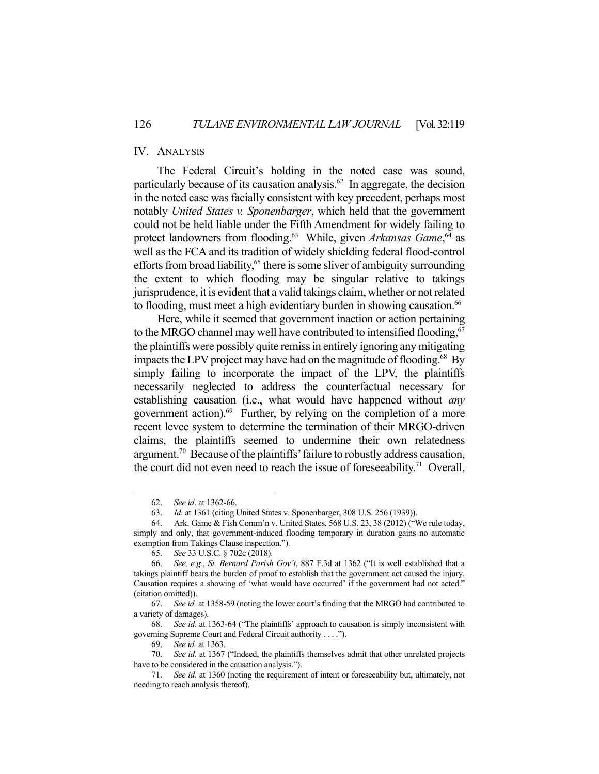# IV. ANALYSIS

 The Federal Circuit's holding in the noted case was sound, particularly because of its causation analysis.<sup>62</sup> In aggregate, the decision in the noted case was facially consistent with key precedent, perhaps most notably *United States v. Sponenbarger*, which held that the government could not be held liable under the Fifth Amendment for widely failing to protect landowners from flooding.<sup>63</sup> While, given *Arkansas Game*,<sup>64</sup> as well as the FCA and its tradition of widely shielding federal flood-control efforts from broad liability,<sup>65</sup> there is some sliver of ambiguity surrounding the extent to which flooding may be singular relative to takings jurisprudence, it is evident that a valid takings claim, whether or not related to flooding, must meet a high evidentiary burden in showing causation.<sup>66</sup>

 Here, while it seemed that government inaction or action pertaining to the MRGO channel may well have contributed to intensified flooding,  $67$ the plaintiffs were possibly quite remiss in entirely ignoring any mitigating impacts the LPV project may have had on the magnitude of flooding.<sup>68</sup> By simply failing to incorporate the impact of the LPV, the plaintiffs necessarily neglected to address the counterfactual necessary for establishing causation (i.e., what would have happened without *any* government action).<sup>69</sup> Further, by relying on the completion of a more recent levee system to determine the termination of their MRGO-driven claims, the plaintiffs seemed to undermine their own relatedness argument.70 Because of the plaintiffs' failure to robustly address causation, the court did not even need to reach the issue of foreseeability.<sup>71</sup> Overall,

1

 68. *See id*. at 1363-64 ("The plaintiffs' approach to causation is simply inconsistent with governing Supreme Court and Federal Circuit authority . . . .").

 <sup>62.</sup> *See id*. at 1362-66.

 <sup>63.</sup> *Id.* at 1361 (citing United States v. Sponenbarger, 308 U.S. 256 (1939)).

 <sup>64.</sup> Ark. Game & Fish Comm'n v. United States, 568 U.S. 23, 38 (2012) ("We rule today, simply and only, that government-induced flooding temporary in duration gains no automatic exemption from Takings Clause inspection.").

 <sup>65.</sup> *See* 33 U.S.C. § 702c (2018).

 <sup>66.</sup> *See, e.g.*, *St. Bernard Parish Gov't*, 887 F.3d at 1362 ("It is well established that a takings plaintiff bears the burden of proof to establish that the government act caused the injury. Causation requires a showing of 'what would have occurred' if the government had not acted." (citation omitted)).

 <sup>67.</sup> *See id.* at 1358-59 (noting the lower court's finding that the MRGO had contributed to a variety of damages).

 <sup>69.</sup> *See id.* at 1363.

 <sup>70.</sup> *See id.* at 1367 ("Indeed, the plaintiffs themselves admit that other unrelated projects have to be considered in the causation analysis.").

 <sup>71.</sup> *See id.* at 1360 (noting the requirement of intent or foreseeability but, ultimately, not needing to reach analysis thereof).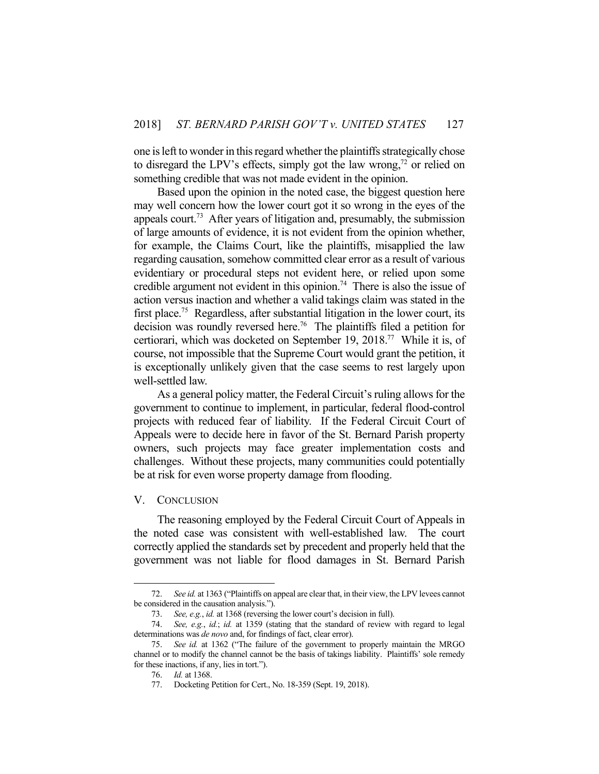one is left to wonder in this regard whether the plaintiffs strategically chose to disregard the LPV's effects, simply got the law wrong, $^{72}$  or relied on something credible that was not made evident in the opinion.

 Based upon the opinion in the noted case, the biggest question here may well concern how the lower court got it so wrong in the eyes of the appeals court.<sup>73</sup> After years of litigation and, presumably, the submission of large amounts of evidence, it is not evident from the opinion whether, for example, the Claims Court, like the plaintiffs, misapplied the law regarding causation, somehow committed clear error as a result of various evidentiary or procedural steps not evident here, or relied upon some credible argument not evident in this opinion.<sup>74</sup> There is also the issue of action versus inaction and whether a valid takings claim was stated in the first place.<sup>75</sup> Regardless, after substantial litigation in the lower court, its decision was roundly reversed here.76 The plaintiffs filed a petition for certiorari, which was docketed on September 19, 2018.77 While it is, of course, not impossible that the Supreme Court would grant the petition, it is exceptionally unlikely given that the case seems to rest largely upon well-settled law.

 As a general policy matter, the Federal Circuit's ruling allows for the government to continue to implement, in particular, federal flood-control projects with reduced fear of liability. If the Federal Circuit Court of Appeals were to decide here in favor of the St. Bernard Parish property owners, such projects may face greater implementation costs and challenges. Without these projects, many communities could potentially be at risk for even worse property damage from flooding.

### V. CONCLUSION

1

 The reasoning employed by the Federal Circuit Court of Appeals in the noted case was consistent with well-established law. The court correctly applied the standards set by precedent and properly held that the government was not liable for flood damages in St. Bernard Parish

 <sup>72.</sup> *See id.* at 1363 ("Plaintiffs on appeal are clear that, in their view, the LPV levees cannot be considered in the causation analysis.").

 <sup>73.</sup> *See, e.g.*, *id.* at 1368 (reversing the lower court's decision in full).

 <sup>74.</sup> *See, e.g.*, *id.*; *id.* at 1359 (stating that the standard of review with regard to legal determinations was *de novo* and, for findings of fact, clear error).

 <sup>75.</sup> *See id.* at 1362 ("The failure of the government to properly maintain the MRGO channel or to modify the channel cannot be the basis of takings liability. Plaintiffs' sole remedy for these inactions, if any, lies in tort.").

 <sup>76.</sup> *Id.* at 1368.

 <sup>77.</sup> Docketing Petition for Cert., No. 18-359 (Sept. 19, 2018).